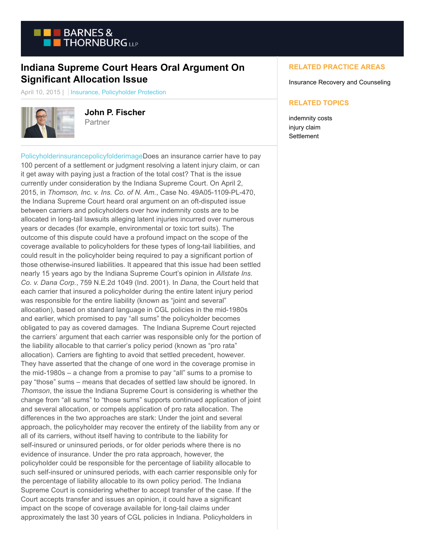

## **Indiana Supreme Court Hears Oral Argument On Significant Allocation Issue**

April 10, 2015 | Insurance, Policyholder Protection



**John P. Fischer** Partner

[PolicyholderinsurancepolicyfolderimageD](https://www.btpolicyholderprotection.com/wp-content/uploads/2014/12/Policyholderinsurancepolicyfolderimage.jpg)oes an insurance carrier have to pay 100 percent of a settlement or judgment resolving a latent injury claim, or can it get away with paying just a fraction of the total cost? That is the issue currently under consideration by the Indiana Supreme Court. On April 2, 2015, in *Thomson, Inc. v. Ins. Co. of N. Am.*, Case No. 49A05-1109-PL-470, the Indiana Supreme Court heard oral argument on an oft-disputed issue between carriers and policyholders over how indemnity costs are to be allocated in long-tail lawsuits alleging latent injuries incurred over numerous years or decades (for example, environmental or toxic tort suits). The outcome of this dispute could have a profound impact on the scope of the coverage available to policyholders for these types of long-tail liabilities, and could result in the policyholder being required to pay a significant portion of those otherwise-insured liabilities. It appeared that this issue had been settled nearly 15 years ago by the Indiana Supreme Court's opinion in *Allstate Ins. Co. v. Dana Corp.*, 759 N.E.2d 1049 (Ind. 2001). In *Dana*, the Court held that each carrier that insured a policyholder during the entire latent injury period was responsible for the entire liability (known as "joint and several" allocation), based on standard language in CGL policies in the mid-1980s and earlier, which promised to pay "all sums" the policyholder becomes obligated to pay as covered damages. The Indiana Supreme Court rejected the carriers' argument that each carrier was responsible only for the portion of the liability allocable to that carrier's policy period (known as "pro rata" allocation). Carriers are fighting to avoid that settled precedent, however. They have asserted that the change of one word in the coverage promise in the mid-1980s – a change from a promise to pay "all" sums to a promise to pay "those" sums – means that decades of settled law should be ignored. In *Thomson*, the issue the Indiana Supreme Court is considering is whether the change from "all sums" to "those sums" supports continued application of joint and several allocation, or compels application of pro rata allocation. The differences in the two approaches are stark: Under the joint and several approach, the policyholder may recover the entirety of the liability from any or all of its carriers, without itself having to contribute to the liability for self-insured or uninsured periods, or for older periods where there is no evidence of insurance. Under the pro rata approach, however, the policyholder could be responsible for the percentage of liability allocable to such self-insured or uninsured periods, with each carrier responsible only for the percentage of liability allocable to its own policy period. The Indiana Supreme Court is considering whether to accept transfer of the case. If the Court accepts transfer and issues an opinion, it could have a significant impact on the scope of coverage available for long-tail claims under approximately the last 30 years of CGL policies in Indiana. Policyholders in

## **RELATED PRACTICE AREAS**

Insurance Recovery and Counseling

## **RELATED TOPICS**

indemnity costs injury claim **Settlement**